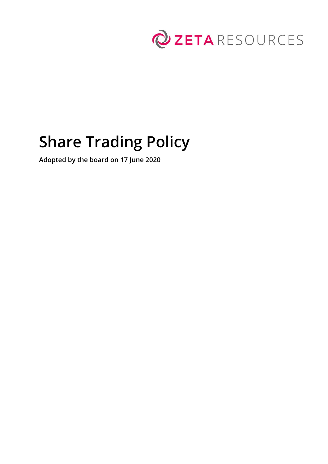

# **Share Trading Policy**

**Adopted by the board on 17 June 2020**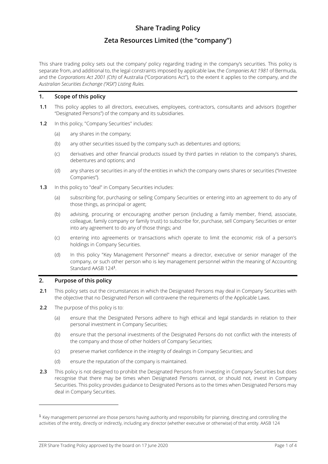# **Share Trading Policy**

# **Zeta Resources Limited (the "company")**

This share trading policy sets out the company' policy regarding trading in the company's securities. This policy is separate from, and additional to, the legal constraints imposed by applicable law, the *Companies Act 1981* of Bermuda, and the *Corporations Act 2001 (Cth)* of Australia ("Corporations Act"), to the extent it applies to the company, and *the Australian Securities Exchange ("ASX") Listing Rules.*

# **1. Scope of this policy**

- **1.1** This policy applies to all directors, executives, employees, contractors, consultants and advisors (together "Designated Persons") of the company and its subsidiaries.
- **1.2** In this policy, "Company Securities" includes:
	- (a) any shares in the company;
	- (b) any other securities issued by the company such as debentures and options;
	- (c) derivatives and other financial products issued by third parties in relation to the company's shares, debentures and options; and
	- (d) any shares or securities in any of the entities in which the company owns shares or securities ("Investee Companies").
- **1.3** In this policy to "deal" in Company Securities includes:
	- (a) subscribing for, purchasing or selling Company Securities or entering into an agreement to do any of those things, as principal or agent;
	- (b) advising, procuring or encouraging another person (including a family member, friend, associate, colleague, family company or family trust) to subscribe for, purchase, sell Company Securities or enter into any agreement to do any of those things; and
	- (c) entering into agreements or transactions which operate to limit the economic risk of a person's holdings in Company Securities.
	- (d) In this policy "Key Management Personnel" means a director, executive or senior manager of the company, or such other person who is key management personnel within the meaning of Accounting Standard AASB 124<sup>1</sup> .

# **2. Purpose of this policy**

- **2.1** This policy sets out the circumstances in which the Designated Persons may deal in Company Securities with the objective that no Designated Person will contravene the requirements of the Applicable Laws.
- **2.2** The purpose of this policy is to:
	- (a) ensure that the Designated Persons adhere to high ethical and legal standards in relation to their personal investment in Company Securities;
	- (b) ensure that the personal investments of the Designated Persons do not conflict with the interests of the company and those of other holders of Company Securities;
	- (c) preserve market confidence in the integrity of dealings in Company Securities; and
	- (d) ensure the reputation of the company is maintained.
- **2.3** This policy is not designed to prohibit the Designated Persons from investing in Company Securities but does recognise that there may be times when Designated Persons cannot, or should not, invest in Company Securities. This policy provides guidance to Designated Persons as to the times when Designated Persons may deal in Company Securities.

<sup>1</sup> Key management personnel are those persons having authority and responsibility for planning, directing and controlling the activities of the entity, directly or indirectly, including any director (whether executive or otherwise) of that entity. AASB 124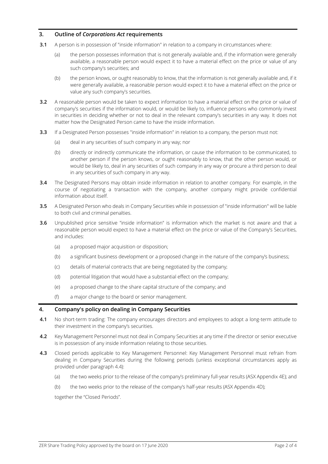# **3. Outline of** *Corporations Act* **requirements**

- **3.1** A person is in possession of "inside information" in relation to a company in circumstances where:
	- (a) the person possesses information that is not generally available and, if the information were generally available, a reasonable person would expect it to have a material effect on the price or value of any such company's securities; and
	- (b) the person knows, or ought reasonably to know, that the information is not generally available and, if it were generally available, a reasonable person would expect it to have a material effect on the price or value any such company's securities.
- **3.2** A reasonable person would be taken to expect information to have a material effect on the price or value of company's securities if the information would, or would be likely to, influence persons who commonly invest in securities in deciding whether or not to deal in the relevant company's securities in any way. It does not matter how the Designated Person came to have the inside information.
- **3.3** If a Designated Person possesses "inside information" in relation to a company, the person must not:
	- (a) deal in any securities of such company in any way; nor
	- (b) directly or indirectly communicate the information, or cause the information to be communicated, to another person if the person knows, or ought reasonably to know, that the other person would, or would be likely to, deal in any securities of such company in any way or procure a third person to deal in any securities of such company in any way.
- **3.4** The Designated Persons may obtain inside information in relation to another company. For example, in the course of negotiating a transaction with the company, another company might provide confidential information about itself.
- **3.5** A Designated Person who deals in Company Securities while in possession of "inside information" will be liable to both civil and criminal penalties.
- **3.6** Unpublished price sensitive "inside information" is information which the market is not aware and that a reasonable person would expect to have a material effect on the price or value of the Company's Securities, and includes:
	- (a) a proposed major acquisition or disposition;
	- (b) a significant business development or a proposed change in the nature of the company's business;
	- (c) details of material contracts that are being negotiated by the company;
	- (d) potential litigation that would have a substantial effect on the company;
	- (e) a proposed change to the share capital structure of the company; and
	- (f) a major change to the board or senior management.

#### **4. Company's policy on dealing in Company Securities**

- **4.1** No short-term trading: The company encourages directors and employees to adopt a long-term attitude to their investment in the company's securities.
- **4.2** Key Management Personnel must not deal in Company Securities at any time if the director or senior executive is in possession of any inside information relating to those securities.
- **4.3** Closed periods applicable to Key Management Personnel: Key Management Personnel must refrain from dealing in Company Securities during the following periods (unless exceptional circumstances apply as provided under paragraph 4.4):
	- (a) the two weeks prior to the release of the company's preliminary full-year results (ASX Appendix 4E); and
	- (b) the two weeks prior to the release of the company's half-year results (ASX Appendix 4D);

together the "Closed Periods".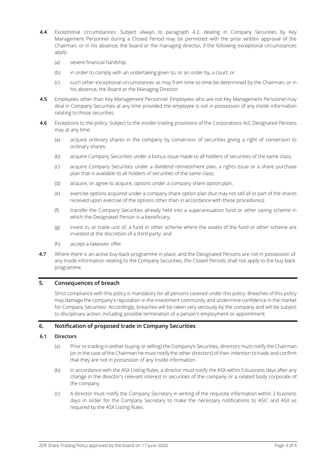- **4.4** Exceptional circumstances: Subject always to paragraph 4.2, dealing in Company Securities by Key Management Personnel during a Closed Period may be permitted with the prior written approval of the Chairman, or in his absence, the board or the managing director, if the following exceptional circumstances apply:
	- (a) severe financial hardship;
	- (b) in order to comply with an undertaking given to, or an order by, a court; or
	- (c) such other exceptional circumstances as may from time-to-time be determined by the Chairman, or in his absence, the Board or the Managing Director.
- **4.5** Employees other than Key Management Personnel: Employees who are not Key Management Personnel may deal in Company Securities at any time provided the employee is not in possession of any inside information relating to those securities.
- **4.6** Exceptions to the policy: Subject to the insider trading provisions of the Corporations Act, Designated Persons may at any time:
	- (a) acquire ordinary shares in the company by conversion of securities giving a right of conversion to ordinary shares;
	- (b) acquire Company Securities under a bonus issue made to all holders of securities of the same class;
	- (c) acquire Company Securities under a dividend reinvestment plan, a rights issue or a share purchase plan that is available to all holders of securities of the same class;
	- (d) acquire, or agree to acquire, options under a company share option plan;
	- (e) exercise options acquired under a company share option plan (but may not sell all or part of the shares received upon exercise of the options other than in accordance with these procedures);
	- (f) transfer the Company Securities already held into a superannuation fund or other saving scheme in which the Designated Person is a beneficiary;
	- $(g)$  invest in, or trade unit of, a fund or other scheme where the assets of the fund or other scheme are invested at the discretion of a third party; and
	- (h) accept a takeover offer.
- **4.7** Where there is an active buy-back programme in place, and the Designated Persons are not in possession of any inside information relating to the Company Securities, the Closed Periods shall not apply to the buy-back programme.

# **5. Consequences of breach**

Strict compliance with this policy is mandatory for all persons covered under this policy. Breaches of this policy may damage the company's reputation in the investment community and undermine confidence in the market for Company Securities. Accordingly, breaches will be taken very seriously by the company and will be subject to disciplinary action, including possible termination of a person's employment or appointment.

#### **6. Notification of proposed trade in Company Securities**

# **6.1 Directors**

- (a) Prior to trading in (either buying or selling) the Company's Securities, directors must notify the Chairman (or in the case of the Chairman he must notify the other directors) of their intention to trade and confirm that they are not in possession of any inside information.
- (b) In accordance with the ASX Listing Rules, a director must notify the ASX within 5 business days after any change in the director's relevant interest in securities of the company or a related body corporate of the company.
- (c) A director must notify the Company Secretary in writing of the requisite information within 2 business days in order for the Company Secretary to make the necessary notifications to ASIC and ASX as required by the ASX Listing Rules.